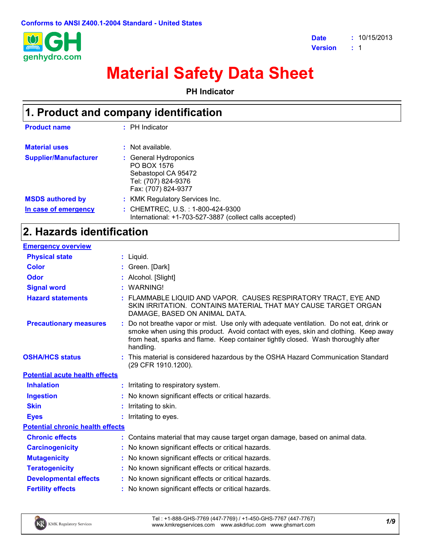

# **Material Safety Data Sheet**

**PH Indicator**

| 1. Product and company identification |                                                                                                           |  |
|---------------------------------------|-----------------------------------------------------------------------------------------------------------|--|
| <b>Product name</b>                   | $:$ PH Indicator                                                                                          |  |
| <b>Material uses</b>                  | : Not available.                                                                                          |  |
| <b>Supplier/Manufacturer</b>          | : General Hydroponics<br>PO BOX 1576<br>Sebastopol CA 95472<br>Tel: (707) 824-9376<br>Fax: (707) 824-9377 |  |
| <b>MSDS authored by</b>               | : KMK Regulatory Services Inc.                                                                            |  |
| In case of emergency                  | : CHEMTREC, U.S. : 1-800-424-9300<br>International: +1-703-527-3887 (collect calls accepted)              |  |

# **2. Hazards identification**

| <b>Emergency overview</b>               |                                                                                                                                                                                                                                                                                  |
|-----------------------------------------|----------------------------------------------------------------------------------------------------------------------------------------------------------------------------------------------------------------------------------------------------------------------------------|
| <b>Physical state</b>                   | $:$ Liquid.                                                                                                                                                                                                                                                                      |
| <b>Color</b>                            | : Green. [Dark]                                                                                                                                                                                                                                                                  |
| <b>Odor</b>                             | Alcohol. [Slight]                                                                                                                                                                                                                                                                |
| <b>Signal word</b>                      | <b>WARNING!</b>                                                                                                                                                                                                                                                                  |
| <b>Hazard statements</b>                | FLAMMABLE LIQUID AND VAPOR. CAUSES RESPIRATORY TRACT, EYE AND<br>SKIN IRRITATION. CONTAINS MATERIAL THAT MAY CAUSE TARGET ORGAN<br>DAMAGE, BASED ON ANIMAL DATA.                                                                                                                 |
| <b>Precautionary measures</b>           | Do not breathe vapor or mist. Use only with adequate ventilation. Do not eat, drink or<br>smoke when using this product. Avoid contact with eyes, skin and clothing. Keep away<br>from heat, sparks and flame. Keep container tightly closed. Wash thoroughly after<br>handling. |
| <b>OSHA/HCS status</b>                  | : This material is considered hazardous by the OSHA Hazard Communication Standard<br>(29 CFR 1910.1200).                                                                                                                                                                         |
| <b>Potential acute health effects</b>   |                                                                                                                                                                                                                                                                                  |
| <b>Inhalation</b>                       | : Irritating to respiratory system.                                                                                                                                                                                                                                              |
| <b>Ingestion</b>                        | : No known significant effects or critical hazards.                                                                                                                                                                                                                              |
| <b>Skin</b>                             | Irritating to skin.                                                                                                                                                                                                                                                              |
| <b>Eyes</b>                             | Irritating to eyes.                                                                                                                                                                                                                                                              |
| <b>Potential chronic health effects</b> |                                                                                                                                                                                                                                                                                  |
| <b>Chronic effects</b>                  | Contains material that may cause target organ damage, based on animal data.                                                                                                                                                                                                      |
| <b>Carcinogenicity</b>                  | : No known significant effects or critical hazards.                                                                                                                                                                                                                              |
| <b>Mutagenicity</b>                     | No known significant effects or critical hazards.                                                                                                                                                                                                                                |
| <b>Teratogenicity</b>                   | No known significant effects or critical hazards.                                                                                                                                                                                                                                |
| <b>Developmental effects</b>            | : No known significant effects or critical hazards.                                                                                                                                                                                                                              |
| <b>Fertility effects</b>                | : No known significant effects or critical hazards.                                                                                                                                                                                                                              |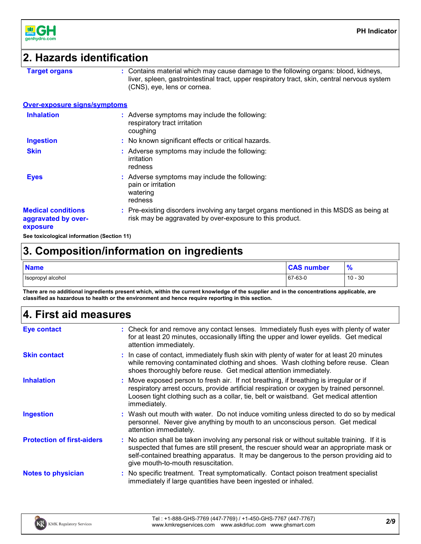

## **2. Hazards identification**

**Target organs :** Contains material which may cause damage to the following organs: blood, kidneys, liver, spleen, gastrointestinal tract, upper respiratory tract, skin, central nervous system (CNS), eye, lens or cornea.

#### **Over-exposure signs/symptoms**

| <b>Inhalation</b>                                            | Adverse symptoms may include the following:<br>respiratory tract irritation<br>coughing                                                           |
|--------------------------------------------------------------|---------------------------------------------------------------------------------------------------------------------------------------------------|
| <b>Ingestion</b>                                             | : No known significant effects or critical hazards.                                                                                               |
| <b>Skin</b>                                                  | : Adverse symptoms may include the following:<br>irritation<br>redness                                                                            |
| <b>Eyes</b>                                                  | Adverse symptoms may include the following:<br>pain or irritation<br>watering<br>redness                                                          |
| <b>Medical conditions</b><br>aggravated by over-<br>exposure | Pre-existing disorders involving any target organs mentioned in this MSDS as being at<br>risk may be aggravated by over-exposure to this product. |

**See toxicological information (Section 11)**

# **3. Composition/information on ingredients**

| <b>Name</b>       | <b>CAS number</b> | $\overline{\mathbf{0}}$<br>70 |
|-------------------|-------------------|-------------------------------|
| Isopropyl alcohol | 67-63-0           | $10 - 30$                     |

**There are no additional ingredients present which, within the current knowledge of the supplier and in the concentrations applicable, are classified as hazardous to health or the environment and hence require reporting in this section.**

# **4. First aid measures**

| <b>Eye contact</b>                | : Check for and remove any contact lenses. Immediately flush eyes with plenty of water<br>for at least 20 minutes, occasionally lifting the upper and lower eyelids. Get medical<br>attention immediately.                                                                                                              |
|-----------------------------------|-------------------------------------------------------------------------------------------------------------------------------------------------------------------------------------------------------------------------------------------------------------------------------------------------------------------------|
| <b>Skin contact</b>               | : In case of contact, immediately flush skin with plenty of water for at least 20 minutes<br>while removing contaminated clothing and shoes. Wash clothing before reuse. Clean<br>shoes thoroughly before reuse. Get medical attention immediately.                                                                     |
| <b>Inhalation</b>                 | : Move exposed person to fresh air. If not breathing, if breathing is irregular or if<br>respiratory arrest occurs, provide artificial respiration or oxygen by trained personnel.<br>Loosen tight clothing such as a collar, tie, belt or waistband. Get medical attention<br>immediately.                             |
| <b>Ingestion</b>                  | : Wash out mouth with water. Do not induce vomiting unless directed to do so by medical<br>personnel. Never give anything by mouth to an unconscious person. Get medical<br>attention immediately.                                                                                                                      |
| <b>Protection of first-aiders</b> | : No action shall be taken involving any personal risk or without suitable training. If it is<br>suspected that fumes are still present, the rescuer should wear an appropriate mask or<br>self-contained breathing apparatus. It may be dangerous to the person providing aid to<br>give mouth-to-mouth resuscitation. |
| <b>Notes to physician</b>         | : No specific treatment. Treat symptomatically. Contact poison treatment specialist<br>immediately if large quantities have been ingested or inhaled.                                                                                                                                                                   |

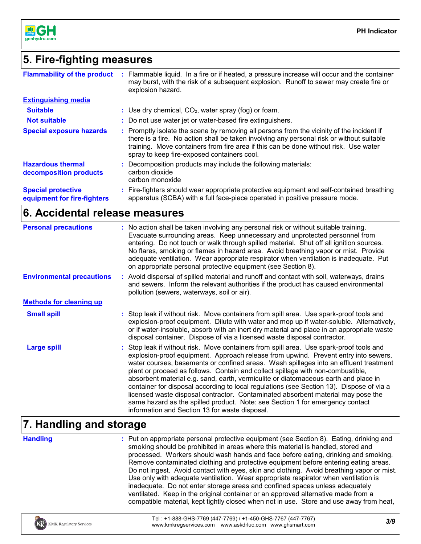

# **5. Fire-fighting measures**

| <b>Flammability of the product</b>                       | Flammable liquid. In a fire or if heated, a pressure increase will occur and the container<br>may burst, with the risk of a subsequent explosion. Runoff to sewer may create fire or<br>explosion hazard.                                                                                                                     |
|----------------------------------------------------------|-------------------------------------------------------------------------------------------------------------------------------------------------------------------------------------------------------------------------------------------------------------------------------------------------------------------------------|
| <b>Extinguishing media</b>                               |                                                                                                                                                                                                                                                                                                                               |
| <b>Suitable</b>                                          | : Use dry chemical, $CO2$ , water spray (fog) or foam.                                                                                                                                                                                                                                                                        |
| <b>Not suitable</b>                                      | : Do not use water jet or water-based fire extinguishers.                                                                                                                                                                                                                                                                     |
| <b>Special exposure hazards</b>                          | : Promptly isolate the scene by removing all persons from the vicinity of the incident if<br>there is a fire. No action shall be taken involving any personal risk or without suitable<br>training. Move containers from fire area if this can be done without risk. Use water<br>spray to keep fire-exposed containers cool. |
| <b>Hazardous thermal</b><br>decomposition products       | : Decomposition products may include the following materials:<br>carbon dioxide<br>carbon monoxide                                                                                                                                                                                                                            |
| <b>Special protective</b><br>equipment for fire-fighters | Fire-fighters should wear appropriate protective equipment and self-contained breathing<br>apparatus (SCBA) with a full face-piece operated in positive pressure mode.                                                                                                                                                        |

# **6. Accidental release measures**

| <b>Personal precautions</b>      | : No action shall be taken involving any personal risk or without suitable training.<br>Evacuate surrounding areas. Keep unnecessary and unprotected personnel from<br>entering. Do not touch or walk through spilled material. Shut off all ignition sources.<br>No flares, smoking or flames in hazard area. Avoid breathing vapor or mist. Provide<br>adequate ventilation. Wear appropriate respirator when ventilation is inadequate. Put<br>on appropriate personal protective equipment (see Section 8).                                                                                                                                                                                                                                                      |
|----------------------------------|----------------------------------------------------------------------------------------------------------------------------------------------------------------------------------------------------------------------------------------------------------------------------------------------------------------------------------------------------------------------------------------------------------------------------------------------------------------------------------------------------------------------------------------------------------------------------------------------------------------------------------------------------------------------------------------------------------------------------------------------------------------------|
| <b>Environmental precautions</b> | : Avoid dispersal of spilled material and runoff and contact with soil, waterways, drains<br>and sewers. Inform the relevant authorities if the product has caused environmental<br>pollution (sewers, waterways, soil or air).                                                                                                                                                                                                                                                                                                                                                                                                                                                                                                                                      |
| <b>Methods for cleaning up</b>   |                                                                                                                                                                                                                                                                                                                                                                                                                                                                                                                                                                                                                                                                                                                                                                      |
| <b>Small spill</b>               | : Stop leak if without risk. Move containers from spill area. Use spark-proof tools and<br>explosion-proof equipment. Dilute with water and mop up if water-soluble. Alternatively,<br>or if water-insoluble, absorb with an inert dry material and place in an appropriate waste<br>disposal container. Dispose of via a licensed waste disposal contractor.                                                                                                                                                                                                                                                                                                                                                                                                        |
| <b>Large spill</b>               | : Stop leak if without risk. Move containers from spill area. Use spark-proof tools and<br>explosion-proof equipment. Approach release from upwind. Prevent entry into sewers,<br>water courses, basements or confined areas. Wash spillages into an effluent treatment<br>plant or proceed as follows. Contain and collect spillage with non-combustible,<br>absorbent material e.g. sand, earth, vermiculite or diatomaceous earth and place in<br>container for disposal according to local regulations (see Section 13). Dispose of via a<br>licensed waste disposal contractor. Contaminated absorbent material may pose the<br>same hazard as the spilled product. Note: see Section 1 for emergency contact<br>information and Section 13 for waste disposal. |

# **7. Handling and storage**

**Handling :**

Put on appropriate personal protective equipment (see Section 8). Eating, drinking and smoking should be prohibited in areas where this material is handled, stored and processed. Workers should wash hands and face before eating, drinking and smoking. Remove contaminated clothing and protective equipment before entering eating areas. Do not ingest. Avoid contact with eyes, skin and clothing. Avoid breathing vapor or mist. Use only with adequate ventilation. Wear appropriate respirator when ventilation is inadequate. Do not enter storage areas and confined spaces unless adequately ventilated. Keep in the original container or an approved alternative made from a compatible material, kept tightly closed when not in use. Store and use away from heat,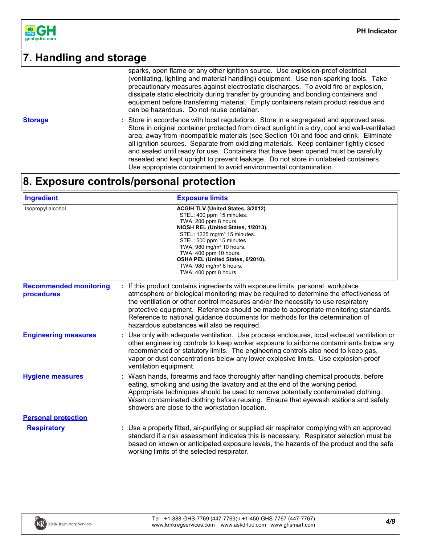

# **7. Handling and storage**

sparks, open flame or any other ignition source. Use explosion-proof electrical (ventilating, lighting and material handling) equipment. Use non-sparking tools. Take precautionary measures against electrostatic discharges. To avoid fire or explosion, dissipate static electricity during transfer by grounding and bonding containers and equipment before transferring material. Empty containers retain product residue and can be hazardous. Do not reuse container.

**Storage :**

Store in accordance with local regulations. Store in a segregated and approved area. Store in original container protected from direct sunlight in a dry, cool and well-ventilated area, away from incompatible materials (see Section 10) and food and drink. Eliminate all ignition sources. Separate from oxidizing materials. Keep container tightly closed and sealed until ready for use. Containers that have been opened must be carefully resealed and kept upright to prevent leakage. Do not store in unlabeled containers. Use appropriate containment to avoid environmental contamination.

# **8. Exposure controls/personal protection**

| <b>Ingredient</b>                           | <b>Exposure limits</b>                                                                                                                                                                                                                                                                                                                                                                                                                                                              |
|---------------------------------------------|-------------------------------------------------------------------------------------------------------------------------------------------------------------------------------------------------------------------------------------------------------------------------------------------------------------------------------------------------------------------------------------------------------------------------------------------------------------------------------------|
| Isopropyl alcohol                           | ACGIH TLV (United States, 3/2012).<br>STEL: 400 ppm 15 minutes.<br>TWA: 200 ppm 8 hours.<br>NIOSH REL (United States, 1/2013).<br>STEL: 1225 mg/m <sup>3</sup> 15 minutes.<br>STEL: 500 ppm 15 minutes.<br>TWA: 980 mg/m <sup>3</sup> 10 hours.<br>TWA: 400 ppm 10 hours.<br>OSHA PEL (United States, 6/2010).<br>TWA: 980 mg/m <sup>3</sup> 8 hours.<br>TWA: 400 ppm 8 hours.                                                                                                      |
| <b>Recommended monitoring</b><br>procedures | If this product contains ingredients with exposure limits, personal, workplace<br>atmosphere or biological monitoring may be required to determine the effectiveness of<br>the ventilation or other control measures and/or the necessity to use respiratory<br>protective equipment. Reference should be made to appropriate monitoring standards.<br>Reference to national guidance documents for methods for the determination of<br>hazardous substances will also be required. |
| <b>Engineering measures</b>                 | Use only with adequate ventilation. Use process enclosures, local exhaust ventilation or<br>other engineering controls to keep worker exposure to airborne contaminants below any<br>recommended or statutory limits. The engineering controls also need to keep gas,<br>vapor or dust concentrations below any lower explosive limits. Use explosion-proof<br>ventilation equipment.                                                                                               |
| <b>Hygiene measures</b>                     | : Wash hands, forearms and face thoroughly after handling chemical products, before<br>eating, smoking and using the lavatory and at the end of the working period.<br>Appropriate techniques should be used to remove potentially contaminated clothing.<br>Wash contaminated clothing before reusing. Ensure that eyewash stations and safety<br>showers are close to the workstation location.                                                                                   |
| <b>Personal protection</b>                  |                                                                                                                                                                                                                                                                                                                                                                                                                                                                                     |
| <b>Respiratory</b>                          | : Use a properly fitted, air-purifying or supplied air respirator complying with an approved<br>standard if a risk assessment indicates this is necessary. Respirator selection must be<br>based on known or anticipated exposure levels, the hazards of the product and the safe<br>working limits of the selected respirator.                                                                                                                                                     |

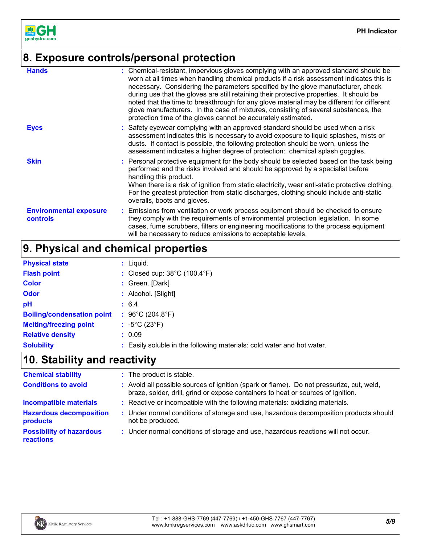

# **8. Exposure controls/personal protection**

| <b>Hands</b>                                     | : Chemical-resistant, impervious gloves complying with an approved standard should be<br>worn at all times when handling chemical products if a risk assessment indicates this is<br>necessary. Considering the parameters specified by the glove manufacturer, check<br>during use that the gloves are still retaining their protective properties. It should be<br>noted that the time to breakthrough for any glove material may be different for different<br>glove manufacturers. In the case of mixtures, consisting of several substances, the<br>protection time of the gloves cannot be accurately estimated. |
|--------------------------------------------------|------------------------------------------------------------------------------------------------------------------------------------------------------------------------------------------------------------------------------------------------------------------------------------------------------------------------------------------------------------------------------------------------------------------------------------------------------------------------------------------------------------------------------------------------------------------------------------------------------------------------|
| <b>Eyes</b>                                      | : Safety eyewear complying with an approved standard should be used when a risk<br>assessment indicates this is necessary to avoid exposure to liquid splashes, mists or<br>dusts. If contact is possible, the following protection should be worn, unless the<br>assessment indicates a higher degree of protection: chemical splash goggles.                                                                                                                                                                                                                                                                         |
| <b>Skin</b>                                      | : Personal protective equipment for the body should be selected based on the task being<br>performed and the risks involved and should be approved by a specialist before<br>handling this product.<br>When there is a risk of ignition from static electricity, wear anti-static protective clothing.<br>For the greatest protection from static discharges, clothing should include anti-static<br>overalls, boots and gloves.                                                                                                                                                                                       |
| <b>Environmental exposure</b><br><b>controls</b> | : Emissions from ventilation or work process equipment should be checked to ensure<br>they comply with the requirements of environmental protection legislation. In some<br>cases, fume scrubbers, filters or engineering modifications to the process equipment<br>will be necessary to reduce emissions to acceptable levels.                                                                                                                                                                                                                                                                                        |

# **9. Physical and chemical properties**

| <b>Physical state</b>             | $:$ Liquid.                                                            |
|-----------------------------------|------------------------------------------------------------------------|
| <b>Flash point</b>                | : Closed cup: $38^{\circ}$ C (100.4 $^{\circ}$ F)                      |
| <b>Color</b>                      | : Green. [Dark]                                                        |
| <b>Odor</b>                       | : Alcohol. [Slight]                                                    |
| pH                                | : 6.4                                                                  |
| <b>Boiling/condensation point</b> | : 96°C (204.8°F)                                                       |
| <b>Melting/freezing point</b>     | : $-5^{\circ}$ C (23 $^{\circ}$ F)                                     |
| <b>Relative density</b>           | : 0.09                                                                 |
| <b>Solubility</b>                 | : Easily soluble in the following materials: cold water and hot water. |

# **10. Stability and reactivity**

| <b>Chemical stability</b>                    | : The product is stable.                                                                                                                                                     |
|----------------------------------------------|------------------------------------------------------------------------------------------------------------------------------------------------------------------------------|
| <b>Conditions to avoid</b>                   | : Avoid all possible sources of ignition (spark or flame). Do not pressurize, cut, weld,<br>braze, solder, drill, grind or expose containers to heat or sources of ignition. |
| <b>Incompatible materials</b>                | : Reactive or incompatible with the following materials: oxidizing materials.                                                                                                |
| <b>Hazardous decomposition</b><br>products   | : Under normal conditions of storage and use, hazardous decomposition products should<br>not be produced.                                                                    |
| <b>Possibility of hazardous</b><br>reactions | : Under normal conditions of storage and use, hazardous reactions will not occur.                                                                                            |

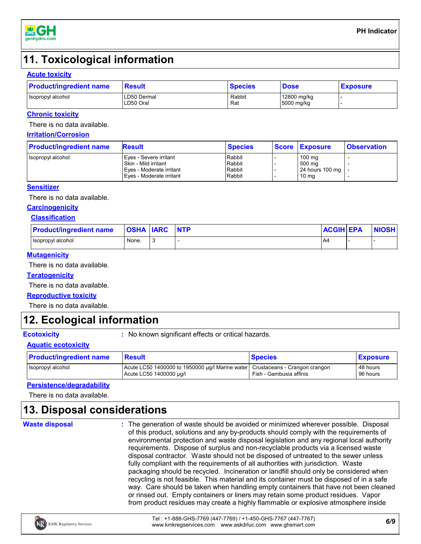

# **11. Toxicological information**

#### **Acute toxicity**

| <b>Product/ingredient name</b> | <b>Result</b>            | <b>Species</b> | <b>Dose</b>               | <b>Exposure</b> |
|--------------------------------|--------------------------|----------------|---------------------------|-----------------|
| Isopropyl alcohol              | LD50 Dermal<br>LD50 Oral | Rabbit<br>Rat  | 12800 mg/kg<br>5000 mg/kg |                 |

#### **Chronic toxicity**

There is no data available.

#### **Irritation/Corrosion**

| <b>Product/ingredient name</b> | <b>Result</b>            | <b>Species</b> | Score Exposure      | <b>Observation</b> |
|--------------------------------|--------------------------|----------------|---------------------|--------------------|
| Isopropyl alcohol              | Eyes - Severe irritant   | Rabbit         | 100 mg              |                    |
|                                | Skin - Mild irritant     | Rabbit         | 500 ma              |                    |
|                                | Eyes - Moderate irritant | Rabbit         | 24 hours 100 mg   - |                    |
|                                | Eves - Moderate irritant | Rabbit         | 10 ma               |                    |

#### **Sensitizer**

There is no data available.

#### **Carcinogenicity**

#### **Classification**

| <b>Product/ingredient name</b> | <b>OSHA IARC</b> | <b>NTP</b> | <b>ACGIH EPA</b> | <b>NIOSH</b> |
|--------------------------------|------------------|------------|------------------|--------------|
| Isopropyl alcohol              | None.            |            | -A4              |              |

#### **Mutagenicity**

There is no data available.

#### **Teratogenicity**

There is no data available.

#### **Reproductive toxicity**

There is no data available.

# **12. Ecological information**

**Ecotoxicity :** No known significant effects or critical hazards.

#### **Aquatic ecotoxicity**

| <b>Product/ingredient name</b> | <b>Result</b>                                                                                              | <b>Species</b>          | <b>Exposure</b>      |
|--------------------------------|------------------------------------------------------------------------------------------------------------|-------------------------|----------------------|
| Isopropyl alcohol              | Acute LC50 1400000 to 1950000 µg/l Marine water   Crustaceans - Crangon crangon<br>Acute LC50 1400000 µg/l | Fish - Gambusia affinis | 48 hours<br>96 hours |

### **Persistence/degradability**

There is no data available.

# **13. Disposal considerations**

**Waste disposal**

The generation of waste should be avoided or minimized wherever possible. Disposal **:** of this product, solutions and any by-products should comply with the requirements of environmental protection and waste disposal legislation and any regional local authority requirements. Dispose of surplus and non-recyclable products via a licensed waste disposal contractor. Waste should not be disposed of untreated to the sewer unless fully compliant with the requirements of all authorities with jurisdiction. Waste packaging should be recycled. Incineration or landfill should only be considered when recycling is not feasible. This material and its container must be disposed of in a safe way. Care should be taken when handling empty containers that have not been cleaned or rinsed out. Empty containers or liners may retain some product residues. Vapor from product residues may create a highly flammable or explosive atmosphere inside

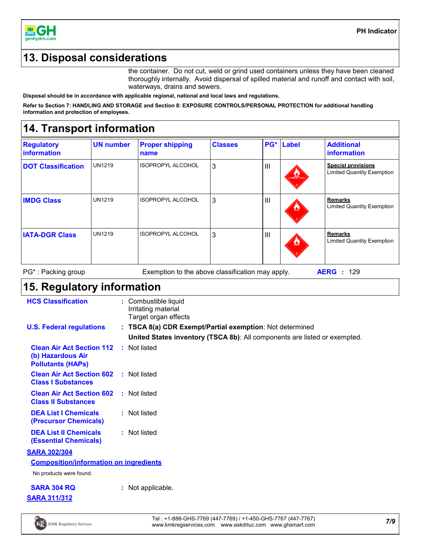

# **13. Disposal considerations**

the container. Do not cut, weld or grind used containers unless they have been cleaned thoroughly internally. Avoid dispersal of spilled material and runoff and contact with soil, waterways, drains and sewers.

**Disposal should be in accordance with applicable regional, national and local laws and regulations.**

**Refer to Section 7: HANDLING AND STORAGE and Section 8: EXPOSURE CONTROLS/PERSONAL PROTECTION for additional handling information and protection of employees.**

# **14. Transport information**

| <b>Regulatory</b><br>information | <b>UN number</b> | <b>Proper shipping</b><br>name | <b>Classes</b> | PG*            | <b>Label</b>          | <b>Additional</b><br>information                               |
|----------------------------------|------------------|--------------------------------|----------------|----------------|-----------------------|----------------------------------------------------------------|
| <b>DOT Classification</b>        | <b>UN1219</b>    | ISOPROPYL ALCOHOL              | 3              | $\mathbf{III}$ | <b>FLAMMABLE UQUE</b> | <b>Special provisions</b><br><b>Limited Quantity Exemption</b> |
| <b>IMDG Class</b>                | <b>UN1219</b>    | <b>ISOPROPYL ALCOHOL</b>       | 3              | $\mathbf{III}$ | Ø                     | Remarks<br><b>Limited Quantity Exemption</b>                   |
| <b>IATA-DGR Class</b>            | <b>UN1219</b>    | <b>ISOPROPYL ALCOHOL</b>       | 3              | $\mathbf{III}$ | Ø                     | <b>Remarks</b><br><b>Limited Quantity Exemption</b>            |

PG\* : Packing group Exemption to the above classification may apply. **AERG :** 129

# **15. Regulatory information**

| <b>HCS Classification</b>                                                                      |   | Combustible liquid<br>Irritating material<br>Target organ effects         |
|------------------------------------------------------------------------------------------------|---|---------------------------------------------------------------------------|
| <b>U.S. Federal regulations</b>                                                                |   | : TSCA 8(a) CDR Exempt/Partial exemption: Not determined                  |
|                                                                                                |   | United States inventory (TSCA 8b): All components are listed or exempted. |
| <b>Clean Air Act Section 112 : Not listed</b><br>(b) Hazardous Air<br><b>Pollutants (HAPS)</b> |   |                                                                           |
| <b>Clean Air Act Section 602</b><br><b>Class I Substances</b>                                  |   | : Not listed                                                              |
| <b>Clean Air Act Section 602</b><br><b>Class II Substances</b>                                 |   | : Not listed                                                              |
| <b>DEA List I Chemicals</b><br>(Precursor Chemicals)                                           |   | : Not listed                                                              |
| <b>DEA List II Chemicals</b><br><b>(Essential Chemicals)</b>                                   |   | : Not listed                                                              |
| <b>SARA 302/304</b>                                                                            |   |                                                                           |
| <b>Composition/information on ingredients</b>                                                  |   |                                                                           |
| No products were found.                                                                        |   |                                                                           |
| <b>SARA 304 RQ</b>                                                                             | ÷ | Not applicable.                                                           |
| <b>SARA 311/312</b>                                                                            |   |                                                                           |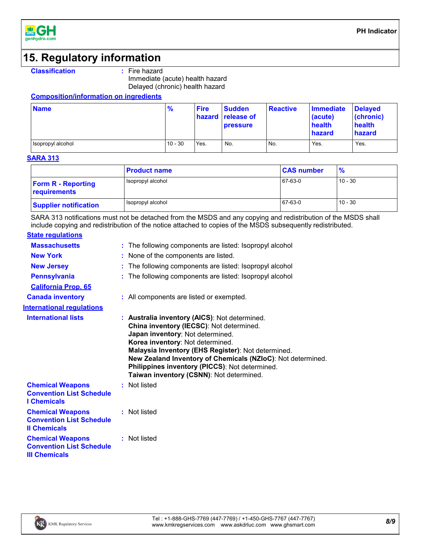

# **15. Regulatory information**

Immediate (acute) health hazard Delayed (chronic) health hazard

**Composition/information on ingredients**

| <b>Name</b>         | $\frac{9}{6}$ | <b>Fire</b> | <b>Sudden</b><br>hazard release of<br><b>pressure</b> | <b>Reactive</b> | Immediate<br>(acute)<br>health<br><b>hazard</b> | <b>Delayed</b><br>(chronic)<br>health<br>hazard |
|---------------------|---------------|-------------|-------------------------------------------------------|-----------------|-------------------------------------------------|-------------------------------------------------|
| I Isopropyl alcohol | $10 - 30$     | Yes.        | No.                                                   | No.             | Yes.                                            | Yes.                                            |

#### **SARA 313**

|                                           | <b>Product name</b> | <b>CAS number</b> | $\%$      |
|-------------------------------------------|---------------------|-------------------|-----------|
| <b>Form R - Reporting</b><br>requirements | Isopropyl alcohol   | 67-63-0           | $10 - 30$ |
| <b>Supplier notification</b>              | Isopropyl alcohol   | 67-63-0           | $10 - 30$ |

SARA 313 notifications must not be detached from the MSDS and any copying and redistribution of the MSDS shall include copying and redistribution of the notice attached to copies of the MSDS subsequently redistributed.

### **State regulations**

| <b>Massachusetts</b>                                                               | : The following components are listed: Isopropyl alcohol                                                                                                                                                                                                                                                                                                                             |
|------------------------------------------------------------------------------------|--------------------------------------------------------------------------------------------------------------------------------------------------------------------------------------------------------------------------------------------------------------------------------------------------------------------------------------------------------------------------------------|
| <b>New York</b>                                                                    | : None of the components are listed.                                                                                                                                                                                                                                                                                                                                                 |
| <b>New Jersey</b>                                                                  | : The following components are listed: Isopropyl alcohol                                                                                                                                                                                                                                                                                                                             |
| <b>Pennsylvania</b>                                                                | The following components are listed: Isopropyl alcohol                                                                                                                                                                                                                                                                                                                               |
| <b>California Prop. 65</b>                                                         |                                                                                                                                                                                                                                                                                                                                                                                      |
| <b>Canada inventory</b>                                                            | : All components are listed or exempted.                                                                                                                                                                                                                                                                                                                                             |
| <b>International requlations</b>                                                   |                                                                                                                                                                                                                                                                                                                                                                                      |
| <b>International lists</b>                                                         | : Australia inventory (AICS): Not determined.<br>China inventory (IECSC): Not determined.<br>Japan inventory: Not determined.<br>Korea inventory: Not determined.<br>Malaysia Inventory (EHS Register): Not determined.<br>New Zealand Inventory of Chemicals (NZIoC): Not determined.<br>Philippines inventory (PICCS): Not determined.<br>Taiwan inventory (CSNN): Not determined. |
| <b>Chemical Weapons</b><br><b>Convention List Schedule</b><br><b>I</b> Chemicals   | : Not listed                                                                                                                                                                                                                                                                                                                                                                         |
| <b>Chemical Weapons</b><br><b>Convention List Schedule</b><br><b>Il Chemicals</b>  | : Not listed                                                                                                                                                                                                                                                                                                                                                                         |
| <b>Chemical Weapons</b><br><b>Convention List Schedule</b><br><b>III Chemicals</b> | : Not listed                                                                                                                                                                                                                                                                                                                                                                         |



**Classification :** Fire hazard